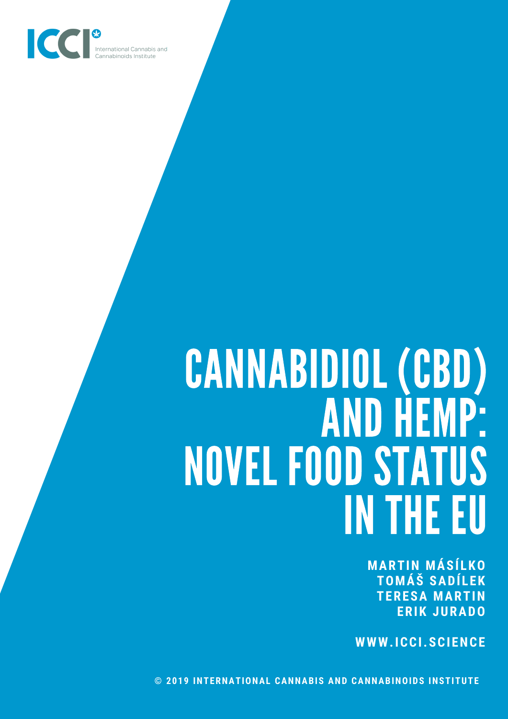

# CANNABIDIOL (CBD) AND HEMP: NOVEL FOOD STATUS INTHE EU

**MARTIN MÁSÍ LKO TOMÁŠ SADÍ LEK TERESA MARTIN ERIK JURADO**

**WWW.ICCI.SCIENCE**

**© 2019 INTERNATIONAL CANNABIS AND CANNABINOIDS INSTITUTE**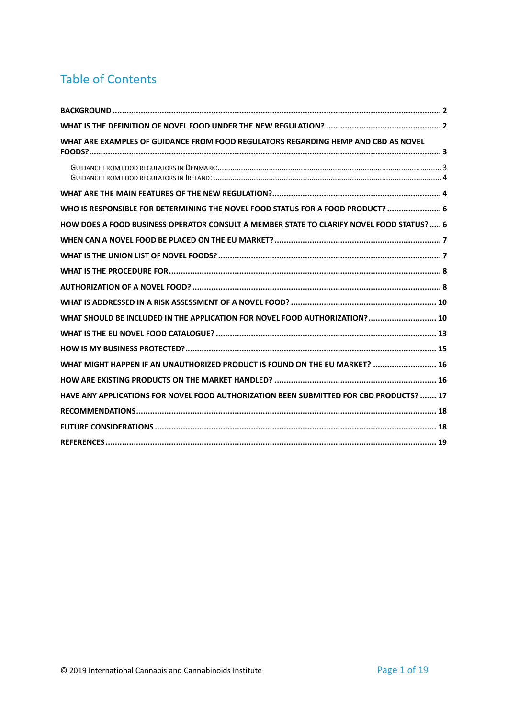## Table of Contents

| WHAT ARE EXAMPLES OF GUIDANCE FROM FOOD REGULATORS REGARDING HEMP AND CBD AS NOVEL        |  |
|-------------------------------------------------------------------------------------------|--|
|                                                                                           |  |
|                                                                                           |  |
| WHO IS RESPONSIBLE FOR DETERMINING THE NOVEL FOOD STATUS FOR A FOOD PRODUCT?  6           |  |
| HOW DOES A FOOD BUSINESS OPERATOR CONSULT A MEMBER STATE TO CLARIFY NOVEL FOOD STATUS?  6 |  |
|                                                                                           |  |
|                                                                                           |  |
|                                                                                           |  |
|                                                                                           |  |
|                                                                                           |  |
| WHAT SHOULD BE INCLUDED IN THE APPLICATION FOR NOVEL FOOD AUTHORIZATION? 10               |  |
|                                                                                           |  |
|                                                                                           |  |
| WHAT MIGHT HAPPEN IF AN UNAUTHORIZED PRODUCT IS FOUND ON THE EU MARKET?  16               |  |
|                                                                                           |  |
| HAVE ANY APPLICATIONS FOR NOVEL FOOD AUTHORIZATION BEEN SUBMITTED FOR CBD PRODUCTS?  17   |  |
|                                                                                           |  |
|                                                                                           |  |
|                                                                                           |  |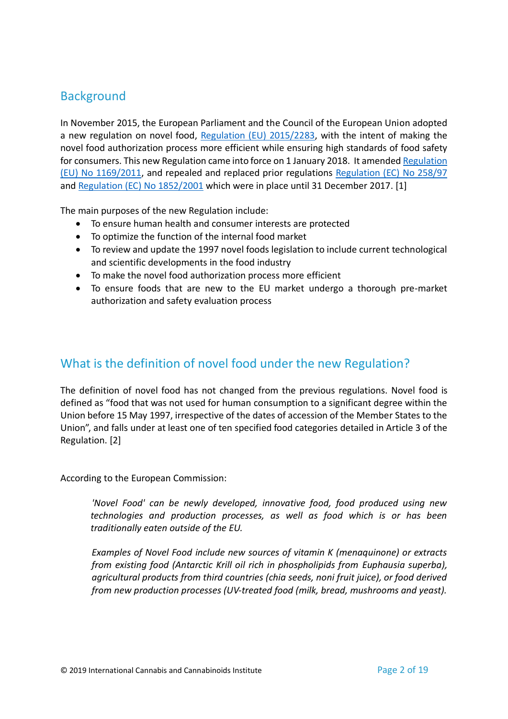#### <span id="page-2-0"></span>**Background**

In November 2015, the European Parliament and the Council of the European Union adopted a new regulation on novel food, [Regulation \(EU\) 2015/2283,](https://eur-lex.europa.eu/legal-content/EN/TXT/?uri=CELEX:32015R2283) with the intent of making the novel food authorization process more efficient while ensuring high standards of food safety for consumers. This new Regulation came into force on 1 January 2018. It amende[d Regulation](https://eur-lex.europa.eu/legal-content/EN/ALL/?uri=CELEX%3A32011R1169)  [\(EU\) No 1169/2011,](https://eur-lex.europa.eu/legal-content/EN/ALL/?uri=CELEX%3A32011R1169) and repealed and replaced prior regulations [Regulation \(EC\) No 258/97](https://eur-lex.europa.eu/legal-content/EN/TXT/?uri=CELEX:31997R0258) and [Regulation \(EC\) No 1852/2001](https://eur-lex.europa.eu/legal-content/EN/TXT/?uri=CELEX:32001R1852) which were in place until 31 December 2017. [1]

The main purposes of the new Regulation include:

- To ensure human health and consumer interests are protected
- To optimize the function of the internal food market
- To review and update the 1997 novel foods legislation to include current technological and scientific developments in the food industry
- To make the novel food authorization process more efficient
- To ensure foods that are new to the EU market undergo a thorough pre-market authorization and safety evaluation process

#### <span id="page-2-1"></span>What is the definition of novel food under the new Regulation?

The definition of novel food has not changed from the previous regulations. Novel food is defined as "food that was not used for human consumption to a significant degree within the Union before 15 May 1997, irrespective of the dates of accession of the Member States to the Union", and falls under at least one of ten specified food categories detailed in Article 3 of the Regulation. [2]

According to the European Commission:

*'Novel Food' can be newly developed, innovative food, food produced using new technologies and production processes, as well as food which is or has been traditionally eaten outside of the EU.*

*Examples of Novel Food include new sources of vitamin K (menaquinone) or extracts from existing food (Antarctic Krill oil rich in phospholipids from Euphausia superba), agricultural products from third countries (chia seeds, noni fruit juice), or food derived from new production processes (UV-treated food (milk, bread, mushrooms and yeast).*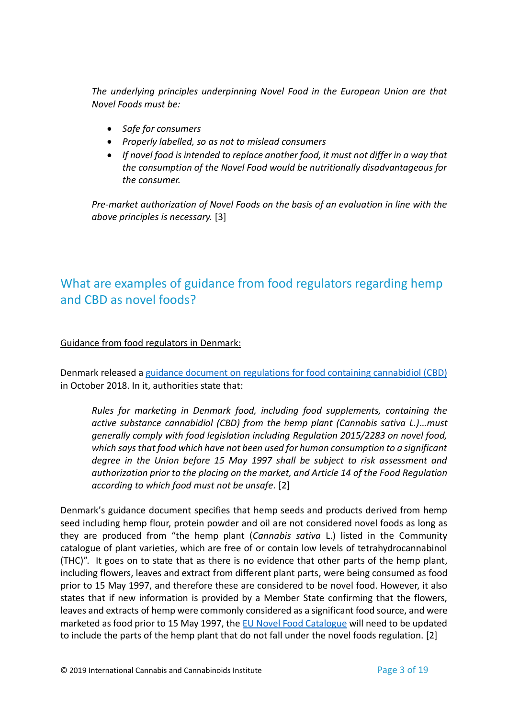*The underlying principles underpinning Novel Food in the European Union are that Novel Foods must be:*

- *Safe for consumers*
- *Properly labelled, so as not to mislead consumers*
- *If novel food is intended to replace another food, it must not differ in a way that the consumption of the Novel Food would be nutritionally disadvantageous for the consumer.*

*Pre-market authorization of Novel Foods on the basis of an evaluation in line with the above principles is necessary.* [3]

## <span id="page-3-0"></span>What are examples of guidance from food regulators regarding hemp and CBD as novel foods?

#### <span id="page-3-1"></span>Guidance from food regulators in Denmark:

Denmark released a [guidance document on regulations for food containing cannabidiol \(CBD\)](https://www.foedevarestyrelsen.dk/SiteCollectionDocuments/Kemi%20og%20foedevarekvalitet/GMO-Novel%20food-Nano-Bestraaling/Info%20p%C3%A5%20hjemmeside%20om%20CBD_EN.pdf) in October 2018. In it, authorities state that:

*Rules for marketing in Denmark food, including food supplements, containing the active substance cannabidiol (CBD) from the hemp plant (Cannabis sativa L.)…must generally comply with food legislation including Regulation 2015/2283 on novel food, which says that food which have not been used for human consumption to a significant degree in the Union before 15 May 1997 shall be subject to risk assessment and authorization prior to the placing on the market, and Article 14 of the Food Regulation according to which food must not be unsafe.* [2]

Denmark's guidance document specifies that hemp seeds and products derived from hemp seed including hemp flour, protein powder and oil are not considered novel foods as long as they are produced from "the hemp plant (*Cannabis sativa* L.) listed in the Community catalogue of plant varieties, which are free of or contain low levels of tetrahydrocannabinol (THC)". It goes on to state that as there is no evidence that other parts of the hemp plant, including flowers, leaves and extract from different plant parts, were being consumed as food prior to 15 May 1997, and therefore these are considered to be novel food. However, it also states that if new information is provided by a Member State confirming that the flowers, leaves and extracts of hemp were commonly considered as a significant food source, and were marketed as food prior to 15 May 1997, the [EU Novel Food Catalogue](https://ec.europa.eu/food/safety/novel_food/catalogue_en) will need to be updated to include the parts of the hemp plant that do not fall under the novel foods regulation. [2]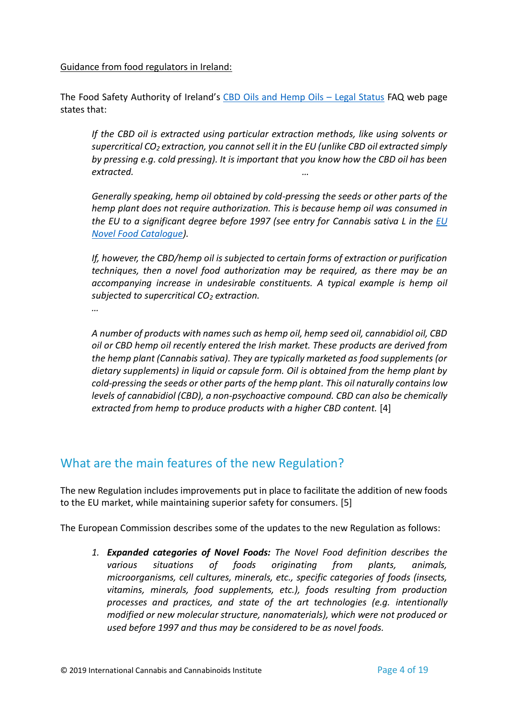<span id="page-4-0"></span>Guidance from food regulators in Ireland:

The Food Safety Authority of Ireland's CBD Oils and Hemp Oils - Legal Status FAQ web page states that:

*If the CBD oil is extracted using particular extraction methods, like using solvents or supercritical CO<sup>2</sup> extraction, you cannot sell it in the EU (unlike CBD oil extracted simply by pressing e.g. cold pressing). It is important that you know how the CBD oil has been extracted. …*

*Generally speaking, hemp oil obtained by cold-pressing the seeds or other parts of the hemp plant does not require authorization. This is because hemp oil was consumed in the EU to a significant degree before 1997 (see entry for Cannabis sativa L in the [EU](https://ec.europa.eu/food/safety/novel_food/catalogue_en)  [Novel Food Catalogue\)](https://ec.europa.eu/food/safety/novel_food/catalogue_en).*

*If, however, the CBD/hemp oil is subjected to certain forms of extraction or purification techniques, then a novel food authorization may be required, as there may be an accompanying increase in undesirable constituents. A typical example is hemp oil subjected to supercritical CO<sup>2</sup> extraction.* 

*…*

*A number of products with names such as hemp oil, hemp seed oil, cannabidiol oil, CBD oil or CBD hemp oil recently entered the Irish market. These products are derived from the hemp plant (Cannabis sativa). They are typically marketed as food supplements (or dietary supplements) in liquid or capsule form. Oil is obtained from the hemp plant by cold-pressing the seeds or other parts of the hemp plant. This oil naturally contains low levels of cannabidiol (CBD), a non-psychoactive compound. CBD can also be chemically extracted from hemp to produce products with a higher CBD content.* [4]

#### <span id="page-4-1"></span>What are the main features of the new Regulation?

The new Regulation includes improvements put in place to facilitate the addition of new foods to the EU market, while maintaining superior safety for consumers. [5]

The European Commission describes some of the updates to the new Regulation as follows:

*1. Expanded categories of Novel Foods: The Novel Food definition describes the various situations of foods originating from plants, animals, microorganisms, cell cultures, minerals, etc., specific categories of foods (insects, vitamins, minerals, food supplements, etc.), foods resulting from production processes and practices, and state of the art technologies (e.g. intentionally modified or new molecular structure, nanomaterials), which were not produced or used before 1997 and thus may be considered to be as novel foods.*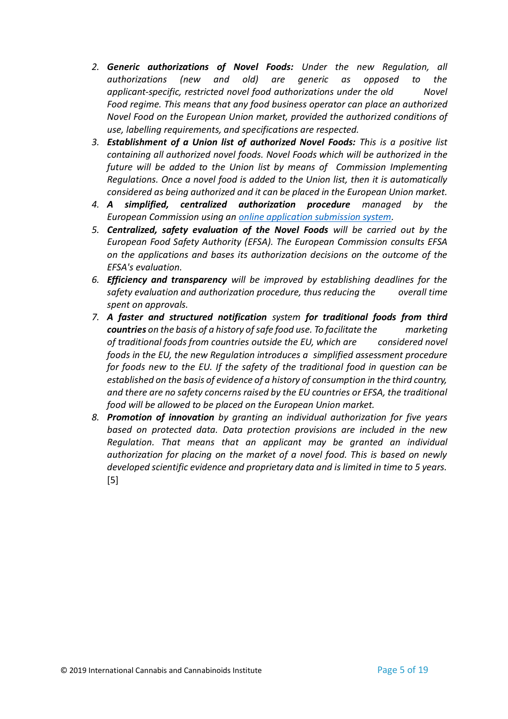- *2. Generic authorizations of Novel Foods: Under the new Regulation, all authorizations (new and old) are generic as opposed to the applicant-specific, restricted novel food authorizations under the old Novel Food regime. This means that any food business operator can place an authorized Novel Food on the European Union market, provided the authorized conditions of use, labelling requirements, and specifications are respected.*
- *3. Establishment of a Union list of authorized Novel Foods: This is a positive list containing all authorized novel foods. Novel Foods which will be authorized in the future will be added to the Union list by means of Commission Implementing Regulations. Once a novel food is added to the Union list, then it is automatically considered as being authorized and it can be placed in the European Union market.*
- *4. A simplified, centralized authorization procedure managed by the European Commission using a[n online application submission system.](https://ec.europa.eu/food/safety/novel_food/e-submission_en)*
- *5. Centralized, safety evaluation of the Novel Foods will be carried out by the European Food Safety Authority (EFSA). The European Commission consults EFSA on the applications and bases its authorization decisions on the outcome of the EFSA's evaluation.*
- *6. Efficiency and transparency will be improved by establishing deadlines for the safety evaluation and authorization procedure, thus reducing the overall time spent on approvals.*
- *7. A faster and structured notification system for traditional foods from third countries on the basis of a history of safe food use. To facilitate the marketing of traditional foods from countries outside the EU, which are considered novel foods in the EU, the new Regulation introduces a simplified assessment procedure for foods new to the EU. If the safety of the traditional food in question can be established on the basis of evidence of a history of consumption in the third country, and there are no safety concerns raised by the EU countries or EFSA, the traditional food will be allowed to be placed on the European Union market.*
- <span id="page-5-0"></span>*8. Promotion of innovation by granting an individual authorization for five years based on protected data. Data protection provisions are included in the new Regulation. That means that an applicant may be granted an individual authorization for placing on the market of a novel food. This is based on newly developed scientific evidence and proprietary data and is limited in time to 5 years.*  [5]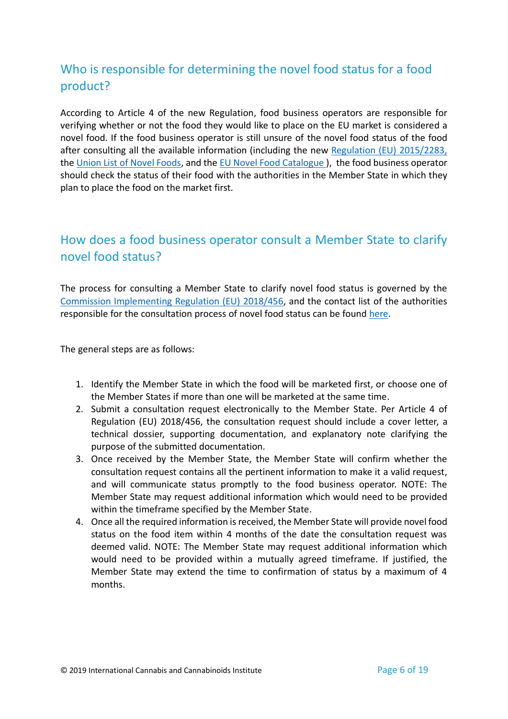### Who is responsible for determining the novel food status for a food product?

According to Article 4 of the new Regulation, food business operators are responsible for verifying whether or not the food they would like to place on the EU market is considered a novel food. If the food business operator is still unsure of the novel food status of the food after consulting all the available information (including the new [Regulation \(EU\) 2015/2283,](https://eur-lex.europa.eu/legal-content/EN/TXT/?uri=CELEX:32015R2283) the [Union List of Novel Foods,](https://ec.europa.eu/food/safety/novel_food/authorisations/union-list-novel-foods_en) and the [EU Novel Food Catalogue \)](https://ec.europa.eu/food/safety/novel_food/catalogue_en), the food business operator should check the status of their food with the authorities in the Member State in which they plan to place the food on the market first.

#### <span id="page-6-0"></span>How does a food business operator consult a Member State to clarify novel food status?

The process for consulting a Member State to clarify novel food status is governed by the [Commission Implementing Regulation \(EU\) 2018/456,](https://eur-lex.europa.eu/legal-content/EN/TXT/?uri=CELEX:32018R0456) and the contact list of the authorities responsible for the consultation process of novel food status can be found [here.](https://ec.europa.eu/food/sites/food/files/safety/docs/fs_novel-food_leg_list_comp_auth_reg_2018_en.pdf)

The general steps are as follows:

- 1. Identify the Member State in which the food will be marketed first, or choose one of the Member States if more than one will be marketed at the same time.
- 2. Submit a consultation request electronically to the Member State. Per Article 4 of Regulation (EU) 2018/456, the consultation request should include a cover letter, a technical dossier, supporting documentation, and explanatory note clarifying the purpose of the submitted documentation.
- 3. Once received by the Member State, the Member State will confirm whether the consultation request contains all the pertinent information to make it a valid request, and will communicate status promptly to the food business operator. NOTE: The Member State may request additional information which would need to be provided within the timeframe specified by the Member State.
- 4. Once all the required information is received, the Member State will provide novel food status on the food item within 4 months of the date the consultation request was deemed valid. NOTE: The Member State may request additional information which would need to be provided within a mutually agreed timeframe. If justified, the Member State may extend the time to confirmation of status by a maximum of 4 months.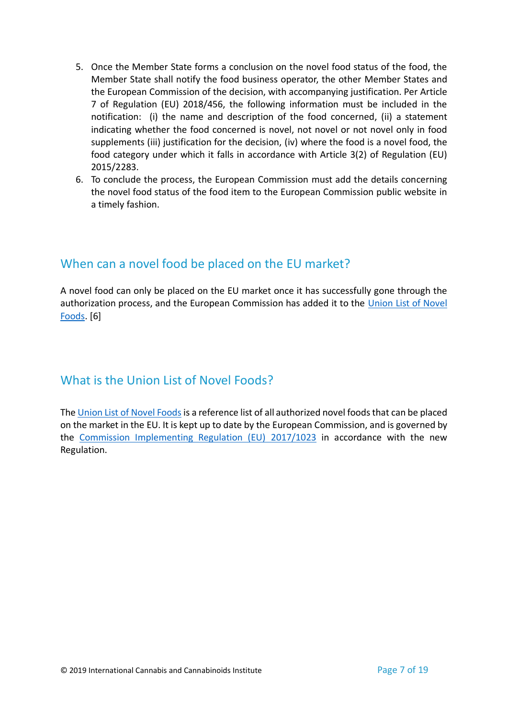- 5. Once the Member State forms a conclusion on the novel food status of the food, the Member State shall notify the food business operator, the other Member States and the European Commission of the decision, with accompanying justification. Per Article 7 of Regulation (EU) 2018/456, the following information must be included in the notification: (i) the name and description of the food concerned, (ii) a statement indicating whether the food concerned is novel, not novel or not novel only in food supplements (iii) justification for the decision, (iv) where the food is a novel food, the food category under which it falls in accordance with Article 3(2) of Regulation (EU) 2015/2283.
- <span id="page-7-0"></span>6. To conclude the process, the European Commission must add the details concerning the novel food status of the food item to the European Commission public website in a timely fashion.

#### When can a novel food be placed on the EU market?

<span id="page-7-1"></span>A novel food can only be placed on the EU market once it has successfully gone through the authorization process, and the European Commission has added it to the [Union List of Novel](https://ec.europa.eu/food/safety/novel_food/authorisations/union-list-novel-foods_en)  [Foods.](https://ec.europa.eu/food/safety/novel_food/authorisations/union-list-novel-foods_en) [6]

#### What is the Union List of Novel Foods?

<span id="page-7-2"></span>The [Union List of Novel Foods](https://ec.europa.eu/food/safety/novel_food/authorisations/union-list-novel-foods_en) is a reference list of all authorized novel foods that can be placed on the market in the EU. It is kept up to date by the European Commission, and is governed by the [Commission Implementing Regulation \(EU\) 2017/1023](https://eur-lex.europa.eu/legal-content/EN/TXT/?uri=CELEX:32018R1023) in accordance with the new Regulation.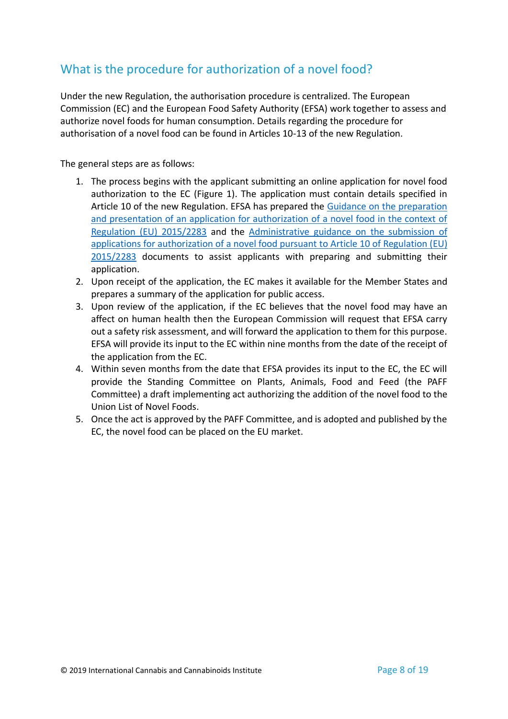### <span id="page-8-0"></span>What is the procedure for authorization of a novel food?

Under the new Regulation, the authorisation procedure is centralized. The European Commission (EC) and the European Food Safety Authority (EFSA) work together to assess and authorize novel foods for human consumption. Details regarding the procedure for authorisation of a novel food can be found in Articles 10-13 of the new Regulation.

The general steps are as follows:

- 1. The process begins with the applicant submitting an online application for novel food authorization to the EC (Figure 1). The application must contain details specified in Article 10 of the new Regulation. EFSA has prepared the Guidance on the preparation [and presentation of an application for authorization of a novel food in the context of](https://efsa.onlinelibrary.wiley.com/doi/epdf/10.2903/j.efsa.2016.4594)  [Regulation \(EU\) 2015/2283](https://efsa.onlinelibrary.wiley.com/doi/epdf/10.2903/j.efsa.2016.4594) and the [Administrative guidance on the submission of](https://efsa.onlinelibrary.wiley.com/doi/epdf/10.2903/sp.efsa.2018.EN-1381)  [applications for authorization of a novel food pursuant](https://efsa.onlinelibrary.wiley.com/doi/epdf/10.2903/sp.efsa.2018.EN-1381) to Article 10 of Regulation (EU) [2015/2283](https://efsa.onlinelibrary.wiley.com/doi/epdf/10.2903/sp.efsa.2018.EN-1381) documents to assist applicants with preparing and submitting their application.
- 2. Upon receipt of the application, the EC makes it available for the Member States and prepares a summary of the application for public access.
- 3. Upon review of the application, if the EC believes that the novel food may have an affect on human health then the European Commission will request that EFSA carry out a safety risk assessment, and will forward the application to them for this purpose. EFSA will provide its input to the EC within nine months from the date of the receipt of the application from the EC.
- 4. Within seven months from the date that EFSA provides its input to the EC, the EC will provide the Standing Committee on Plants, Animals, Food and Feed (the PAFF Committee) a draft implementing act authorizing the addition of the novel food to the Union List of Novel Foods.
- 5. Once the act is approved by the PAFF Committee, and is adopted and published by the EC, the novel food can be placed on the EU market.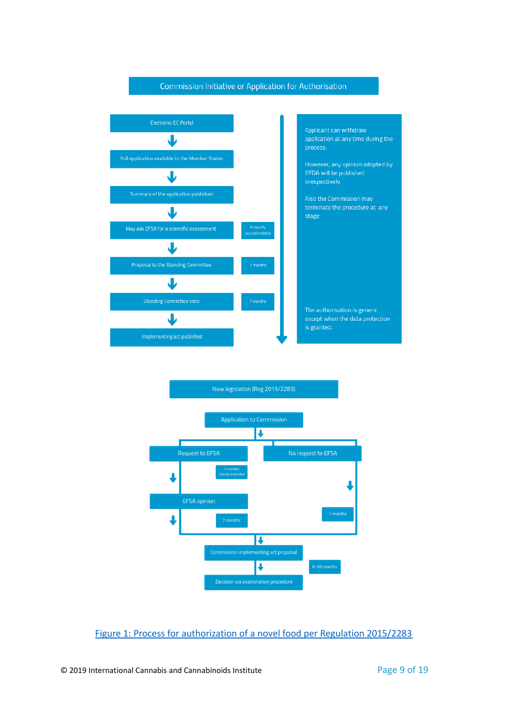



[Figure 1: Process for authorization of a novel food per Regulation 2015/2283](http://www.foodsupplementseurope.org/sites/0023/uploads/content/publications/novelfoods-guidelines-jan2018.pdf?1516105417)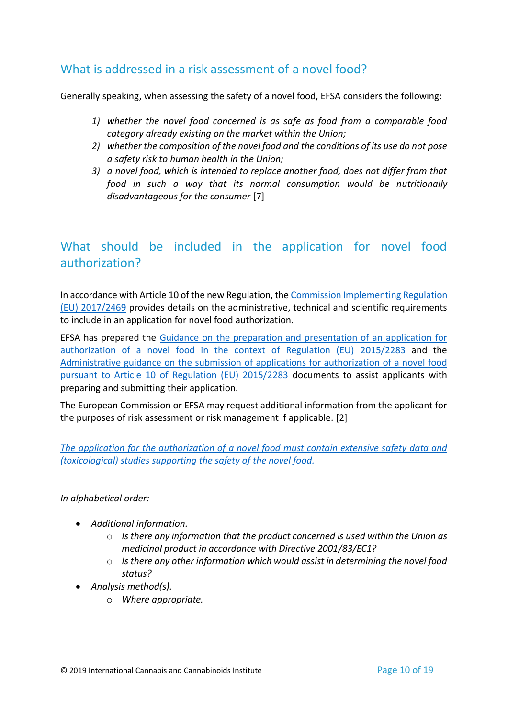#### <span id="page-10-0"></span>What is addressed in a risk assessment of a novel food?

Generally speaking, when assessing the safety of a novel food, EFSA considers the following:

- *1) whether the novel food concerned is as safe as food from a comparable food category already existing on the market within the Union;*
- *2) whether the composition of the novel food and the conditions of its use do not pose a safety risk to human health in the Union;*
- *3) a novel food, which is intended to replace another food, does not differ from that food in such a way that its normal consumption would be nutritionally disadvantageous for the consumer* [7]

#### <span id="page-10-1"></span>What should be included in the application for novel food authorization?

In accordance with Article 10 of the new Regulation, th[e Commission Implementing Regulation](https://eur-lex.europa.eu/legal-content/EN/TXT/?uri=CELEX%3A32017R2469)  [\(EU\) 2017/2469](https://eur-lex.europa.eu/legal-content/EN/TXT/?uri=CELEX%3A32017R2469) provides details on the administrative, technical and scientific requirements to include in an application for novel food authorization.

EFSA has prepared the [Guidance on the preparation and presentation of an application for](https://efsa.onlinelibrary.wiley.com/doi/epdf/10.2903/j.efsa.2016.4594)  [authorization of a novel food in the context of Regulation \(EU\)](https://efsa.onlinelibrary.wiley.com/doi/epdf/10.2903/j.efsa.2016.4594) 2015/2283 and the [Administrative guidance on the submission of applications for authorization of a novel food](https://efsa.onlinelibrary.wiley.com/doi/epdf/10.2903/sp.efsa.2018.EN-1381)  [pursuant to Article 10 of Regulation \(EU\) 2015/2283](https://efsa.onlinelibrary.wiley.com/doi/epdf/10.2903/sp.efsa.2018.EN-1381) documents to assist applicants with preparing and submitting their application.

The European Commission or EFSA may request additional information from the applicant for the purposes of risk assessment or risk management if applicable. [2]

*[The application for the authorization of a novel food must contain extensive safety data and](https://www.efsa.europa.eu/en/supporting/pub/en-1381)  [\(toxicological\) studies supporting the safety of the novel food.](https://www.efsa.europa.eu/en/supporting/pub/en-1381)*

*In alphabetical order:*

- *Additional information.*
	- o *Is there any information that the product concerned is used within the Union as medicinal product in accordance with Directive 2001/83/EC1?*
	- o *Is there any other information which would assist in determining the novel food status?*
- *Analysis method(s).*
	- o *Where appropriate.*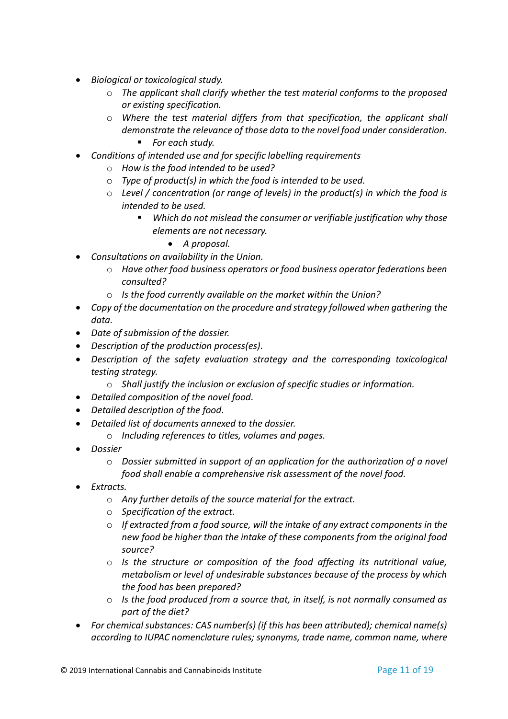- *Biological or toxicological study.*
	- o *The applicant shall clarify whether the test material conforms to the proposed or existing specification.*
	- o *Where the test material differs from that specification, the applicant shall demonstrate the relevance of those data to the novel food under consideration.*
		- *For each study.*
- *Conditions of intended use and for specific labelling requirements*
	- o *How is the food intended to be used?*
	- o *Type of product(s) in which the food is intended to be used.*
	- o *Level / concentration (or range of levels) in the product(s) in which the food is intended to be used.*
		- *Which do not mislead the consumer or verifiable justification why those elements are not necessary.*
			- *A proposal.*
- *Consultations on availability in the Union.*
	- o *Have other food business operators or food business operator federations been consulted?*
	- o *Is the food currently available on the market within the Union?*
- *Copy of the documentation on the procedure and strategy followed when gathering the data.*
- *Date of submission of the dossier.*
- *Description of the production process(es).*
- *Description of the safety evaluation strategy and the corresponding toxicological testing strategy.*
	- o *Shall justify the inclusion or exclusion of specific studies or information.*
- *Detailed composition of the novel food.*
- *Detailed description of the food.*
- *Detailed list of documents annexed to the dossier.*
	- o *Including references to titles, volumes and pages.*
- *Dossier*
	- o *Dossier submitted in support of an application for the authorization of a novel food shall enable a comprehensive risk assessment of the novel food.*
- *Extracts.*
	- o *Any further details of the source material for the extract.*
	- o *Specification of the extract.*
	- o *If extracted from a food source, will the intake of any extract components in the new food be higher than the intake of these components from the original food source?*
	- o *Is the structure or composition of the food affecting its nutritional value, metabolism or level of undesirable substances because of the process by which the food has been prepared?*
	- o *Is the food produced from a source that, in itself, is not normally consumed as part of the diet?*
- *For chemical substances: CAS number(s) (if this has been attributed); chemical name(s) according to IUPAC nomenclature rules; synonyms, trade name, common name, where*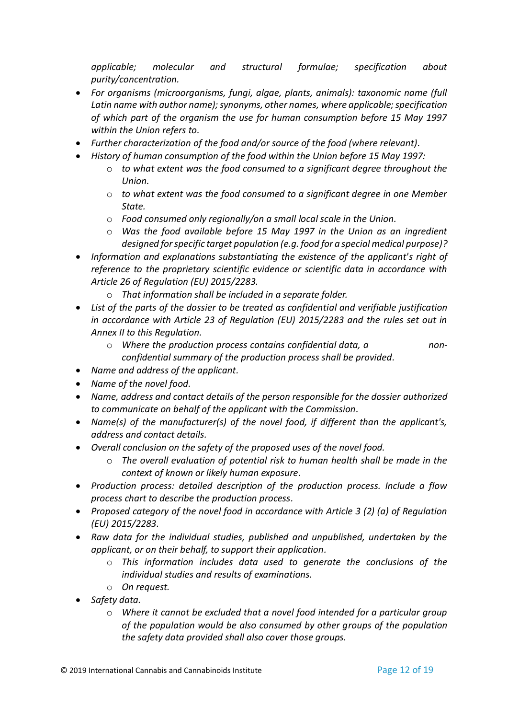*applicable; molecular and structural formulae; specification about purity/concentration.*

- *For organisms (microorganisms, fungi, algae, plants, animals): taxonomic name (full Latin name with author name); synonyms, other names, where applicable; specification of which part of the organism the use for human consumption before 15 May 1997 within the Union refers to.*
- *Further characterization of the food and/or source of the food (where relevant).*
- *History of human consumption of the food within the Union before 15 May 1997:*
	- o *to what extent was the food consumed to a significant degree throughout the Union.*
	- o *to what extent was the food consumed to a significant degree in one Member State.*
	- o *Food consumed only regionally/on a small local scale in the Union.*
	- o *Was the food available before 15 May 1997 in the Union as an ingredient designed for specific target population (e.g. food for a special medical purpose)?*
- *Information and explanations substantiating the existence of the applicant's right of reference to the proprietary scientific evidence or scientific data in accordance with Article 26 of Regulation (EU) 2015/2283.*
	- o *That information shall be included in a separate folder.*
- *List of the parts of the dossier to be treated as confidential and verifiable justification in accordance with Article 23 of Regulation (EU) 2015/2283 and the rules set out in Annex II to this Regulation.*
	- o *Where the production process contains confidential data, a nonconfidential summary of the production process shall be provided.*
- *Name and address of the applicant.*
- *Name of the novel food.*
- *Name, address and contact details of the person responsible for the dossier authorized to communicate on behalf of the applicant with the Commission.*
- *Name(s) of the manufacturer(s) of the novel food, if different than the applicant's, address and contact details.*
- *Overall conclusion on the safety of the proposed uses of the novel food.*
	- o *The overall evaluation of potential risk to human health shall be made in the context of known or likely human exposure.*
- *Production process: detailed description of the production process. Include a flow process chart to describe the production process.*
- *Proposed category of the novel food in accordance with Article 3 (2) (a) of Regulation (EU) 2015/2283.*
- *Raw data for the individual studies, published and unpublished, undertaken by the applicant, or on their behalf, to support their application.*
	- o *This information includes data used to generate the conclusions of the individual studies and results of examinations.*
	- o *On request.*
- *Safety data.*
	- o *Where it cannot be excluded that a novel food intended for a particular group of the population would be also consumed by other groups of the population the safety data provided shall also cover those groups.*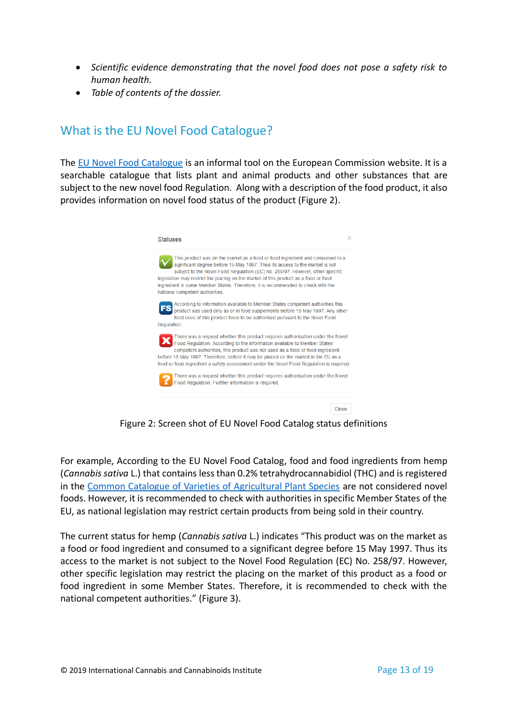- *Scientific evidence demonstrating that the novel food does not pose a safety risk to human health.*
- *Table of contents of the dossier.*

#### <span id="page-13-0"></span>What is the EU Novel Food Catalogue?

The [EU Novel Food Catalogue](https://ec.europa.eu/food/safety/novel_food/catalogue_en) is an informal tool on the European Commission website. It is a searchable catalogue that lists plant and animal products and other substances that are subject to the new novel food Regulation. Along with a description of the food product, it also provides information on novel food status of the product (Figure 2).



Figure 2: Screen shot of EU Novel Food Catalog status definitions

For example, According to the EU Novel Food Catalog, food and food ingredients from hemp (*Cannabis sativa* L.) that contains less than 0.2% tetrahydrocannabidiol (THC) and is registered in the [Common Catalogue of Varieties of Agricultural Plant Species](https://eur-lex.europa.eu/legal-content/EN/TXT/HTML/?uri=CELEX:C2018/044/01&from=EN) are not considered novel foods. However, it is recommended to check with authorities in specific Member States of the EU, as national legislation may restrict certain products from being sold in their country.

The current status for hemp (*Cannabis sativa* L.) indicates "This product was on the market as a food or food ingredient and consumed to a significant degree before 15 May 1997. Thus its access to the market is not subject to the Novel Food Regulation (EC) No. 258/97. However, other specific legislation may restrict the placing on the market of this product as a food or food ingredient in some Member States. Therefore, it is recommended to check with the national competent authorities." (Figure 3).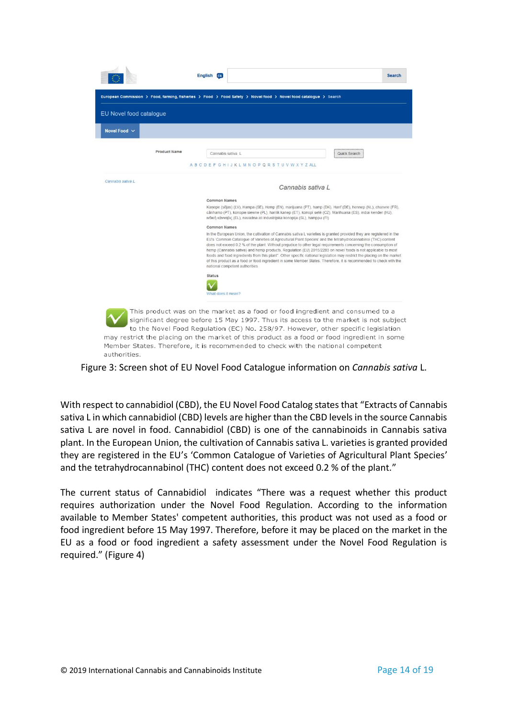|                         | English EN<br><b>Search</b>                                                                                                                                                                                                                                                                                                                                                                                                                                                                                                                                                                                                                                                                                                                                 |
|-------------------------|-------------------------------------------------------------------------------------------------------------------------------------------------------------------------------------------------------------------------------------------------------------------------------------------------------------------------------------------------------------------------------------------------------------------------------------------------------------------------------------------------------------------------------------------------------------------------------------------------------------------------------------------------------------------------------------------------------------------------------------------------------------|
|                         | European Commission > Food, farming, fisheries > Food > Food Safety > Novel food > Novel food catalogue > Search                                                                                                                                                                                                                                                                                                                                                                                                                                                                                                                                                                                                                                            |
| EU Novel food catalogue |                                                                                                                                                                                                                                                                                                                                                                                                                                                                                                                                                                                                                                                                                                                                                             |
| Novel Food $\vee$       |                                                                                                                                                                                                                                                                                                                                                                                                                                                                                                                                                                                                                                                                                                                                                             |
| <b>Product Name</b>     | Cannabis sativa L<br>Quick Search                                                                                                                                                                                                                                                                                                                                                                                                                                                                                                                                                                                                                                                                                                                           |
|                         | A B C D E F G H I J K L M N O P Q R S T U V W X Y Z ALL                                                                                                                                                                                                                                                                                                                                                                                                                                                                                                                                                                                                                                                                                                     |
| Cannabis sativa L       | Cannabis sativa I                                                                                                                                                                                                                                                                                                                                                                                                                                                                                                                                                                                                                                                                                                                                           |
|                         | Common Names                                                                                                                                                                                                                                                                                                                                                                                                                                                                                                                                                                                                                                                                                                                                                |
|                         | Kanepe (sējas) (LV), Hampa (SE), Hemp (EN), marijuana (PT), hamp (DK), Hanf (DE), hennep (NL), chanvre (FR),<br>cânhamo (PT), konopie siewne (PL), harilik kanep (ET), konopi seté (CZ), Marihuana (ES), indiai kender (HU),<br>ινδική κάνναβις (EL), navadna ali industrijska konoplja (SL), hamppu (FI)                                                                                                                                                                                                                                                                                                                                                                                                                                                   |
|                         | <b>Common Names</b>                                                                                                                                                                                                                                                                                                                                                                                                                                                                                                                                                                                                                                                                                                                                         |
|                         | In the European Union, the cultivation of Cannabis sativa L varieties is granted provided they are registered in the<br>EU's 'Common Catalogue of Varieties of Agricultural Plant Species' and the tetrahydrocannabinol (THC) content<br>does not exceed 0.2 % of the plant. Without prejudice to other legal requirements concerning the consumption of<br>hemp (Cannabis sativa) and hemp products, Regulation (EU) 2015/2283 on novel foods is not applicable to most<br>foods and food ingredients from this plant". Other specific national legislation may restrict the placing on the market<br>of this product as a food or food ingredient in some Member States. Therefore, it is recommended to check with the<br>national competent authorities |
|                         | <b>Status</b><br>What does it mean?                                                                                                                                                                                                                                                                                                                                                                                                                                                                                                                                                                                                                                                                                                                         |
|                         | This product was on the market as a food or food ingredient and consumed to a<br>significant degree before 15 May 1997. Thus its access to the market is not subject<br>to the Novel Food Requlation (EC) No. 258/97. However, other specific legislation                                                                                                                                                                                                                                                                                                                                                                                                                                                                                                   |

Figure 3: Screen shot of EU Novel Food Catalogue information on *Cannabis sativa* L.

may restrict the placing on the market of this product as a food or food ingredient in some Member States. Therefore, it is recommended to check with the national competent

With respect to cannabidiol (CBD), the EU Novel Food Catalog states that "Extracts of Cannabis sativa L in which cannabidiol (CBD) levels are higher than the CBD levels in the source Cannabis sativa L are novel in food. Cannabidiol (CBD) is one of the cannabinoids in Cannabis sativa plant. In the European Union, the cultivation of Cannabis sativa L. varieties is granted provided they are registered in the EU's 'Common Catalogue of Varieties of Agricultural Plant Species' and the tetrahydrocannabinol (THC) content does not exceed 0.2 % of the plant."

The current status of Cannabidiol indicates "There was a request whether this product requires authorization under the Novel Food Regulation. According to the information available to Member States' competent authorities, this product was not used as a food or food ingredient before 15 May 1997. Therefore, before it may be placed on the market in the EU as a food or food ingredient a safety assessment under the Novel Food Regulation is required." (Figure 4)

authorities.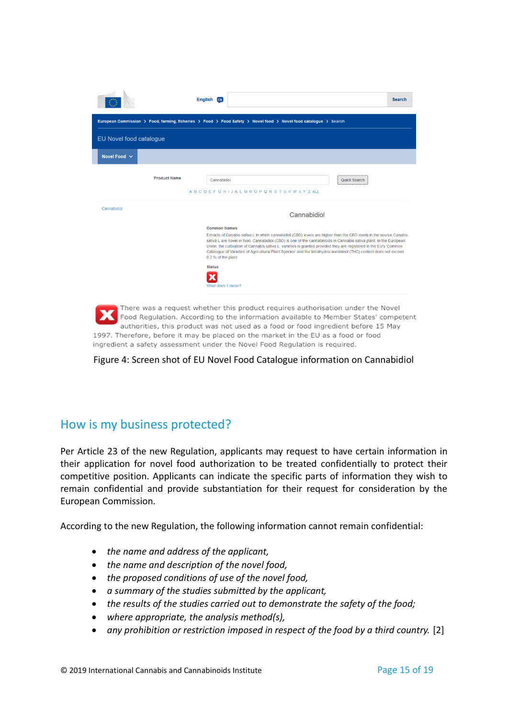|                         | English [1]                                                                                                                                                                                                                                                                                                                                                                                                                                                                                                                                                               | <b>Search</b> |
|-------------------------|---------------------------------------------------------------------------------------------------------------------------------------------------------------------------------------------------------------------------------------------------------------------------------------------------------------------------------------------------------------------------------------------------------------------------------------------------------------------------------------------------------------------------------------------------------------------------|---------------|
|                         | European Commission > Food, farming, fisheries > Food > Food Safety > Novel food > Novel food catalogue > Search                                                                                                                                                                                                                                                                                                                                                                                                                                                          |               |
| EU Novel food catalogue |                                                                                                                                                                                                                                                                                                                                                                                                                                                                                                                                                                           |               |
| Novel Food $\sim$       |                                                                                                                                                                                                                                                                                                                                                                                                                                                                                                                                                                           |               |
| <b>Product Name</b>     | Quick Search<br>Cannabidiol<br><b>ABCDEFGHIJKLMNOPQRSTUVWXYZALL</b>                                                                                                                                                                                                                                                                                                                                                                                                                                                                                                       |               |
| Cannabidiol             | Cannabidiol                                                                                                                                                                                                                                                                                                                                                                                                                                                                                                                                                               |               |
|                         | <b>Common Names</b><br>Extracts of Canabis sativa L in which cannabidiol (CBD) levels are higher than the CBD levels in the source Canabis<br>sativa L are novel in food. Cannabidiol (CBD) is one of the cannabinoids in Cannabis sativa plant. In the European<br>Union, the cultivation of Cannabis sativa L. varieties is granted provided they are registered in the EU's 'Common'<br>Catalogue of Varieties of Agricultural Plant Species' and the tetrahydrocannabinol (THC) content does not exceed<br>0.2 % of the plant.<br><b>Status</b><br>What does it mean? |               |

Food Regulation. According to the information available to Member States' competent authorities, this product was not used as a food or food ingredient before 15 May 1997. Therefore, before it may be placed on the market in the EU as a food or food ingredient a safety assessment under the Novel Food Regulation is required.

Figure 4: Screen shot of EU Novel Food Catalogue information on Cannabidiol

#### <span id="page-15-0"></span>How is my business protected?

Per Article 23 of the new Regulation, applicants may request to have certain information in their application for novel food authorization to be treated confidentially to protect their competitive position. Applicants can indicate the specific parts of information they wish to remain confidential and provide substantiation for their request for consideration by the European Commission.

According to the new Regulation, the following information cannot remain confidential:

- *the name and address of the applicant,*
- *the name and description of the novel food,*
- *the proposed conditions of use of the novel food,*
- *a summary of the studies submitted by the applicant,*
- *the results of the studies carried out to demonstrate the safety of the food;*
- *where appropriate, the analysis method(s),*
- *any prohibition or restriction imposed in respect of the food by a third country.* [2]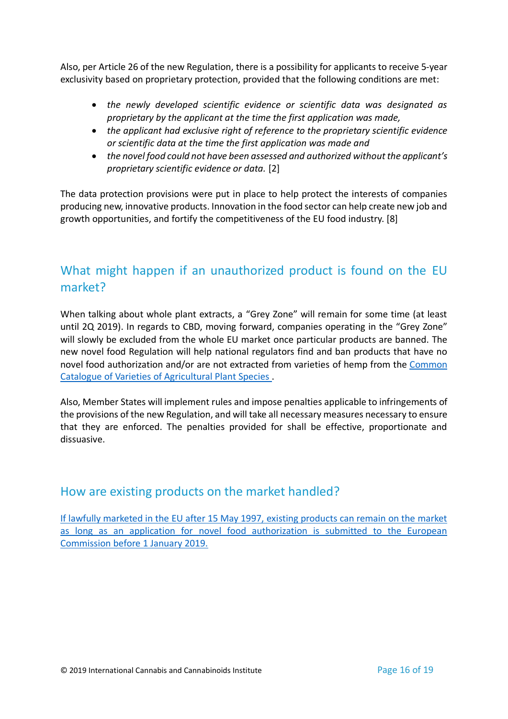Also, per Article 26 of the new Regulation, there is a possibility for applicants to receive 5-year exclusivity based on proprietary protection, provided that the following conditions are met:

- *the newly developed scientific evidence or scientific data was designated as proprietary by the applicant at the time the first application was made,*
- *the applicant had exclusive right of reference to the proprietary scientific evidence or scientific data at the time the first application was made and*
- *the novel food could not have been assessed and authorized without the applicant's proprietary scientific evidence or data.* [2]

The data protection provisions were put in place to help protect the interests of companies producing new, innovative products. Innovation in the food sector can help create new job and growth opportunities, and fortify the competitiveness of the EU food industry. [8]

#### <span id="page-16-0"></span>What might happen if an unauthorized product is found on the EU market?

When talking about whole plant extracts, a "Grey Zone" will remain for some time (at least until 2Q 2019). In regards to CBD, moving forward, companies operating in the "Grey Zone" will slowly be excluded from the whole EU market once particular products are banned. The new novel food Regulation will help national regulators find and ban products that have no novel food authorization and/or are not extracted from varieties of hemp from the Common [Catalogue of Varieties of Agricultural Plant Species](https://eur-lex.europa.eu/legal-content/EN/TXT/HTML/?uri=CELEX:C2018/044/01&from=EN) .

Also, Member States will implement rules and impose penalties applicable to infringements of the provisions of the new Regulation, and will take all necessary measures necessary to ensure that they are enforced. The penalties provided for shall be effective, proportionate and dissuasive.

#### <span id="page-16-1"></span>How are existing products on the market handled?

<span id="page-16-2"></span>[If lawfully marketed in the EU after 15 May 1997, existing products can remain on the market](http://www.foodsupplementseurope.org/sites/0023/uploads/content/publications/novelfoods-summary-jan2018.pdf?1516105465)  [as long as an application for novel food authorization is submitted to the European](http://www.foodsupplementseurope.org/sites/0023/uploads/content/publications/novelfoods-summary-jan2018.pdf?1516105465)  [Commission before 1 January 2019.](http://www.foodsupplementseurope.org/sites/0023/uploads/content/publications/novelfoods-summary-jan2018.pdf?1516105465)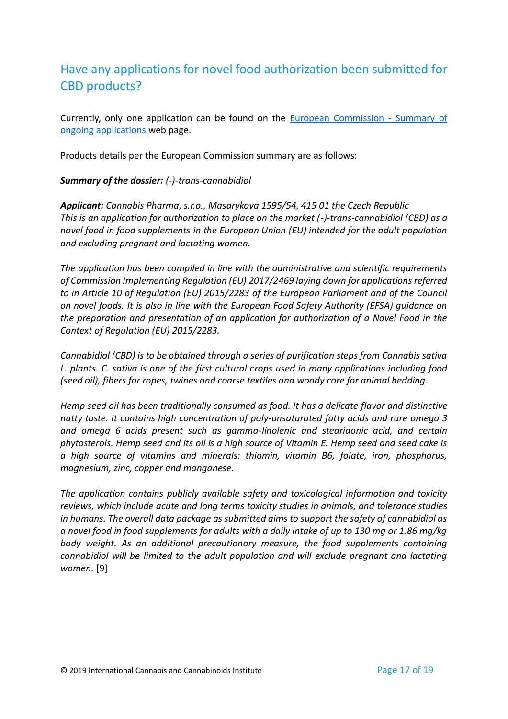### Have any applications for novel food authorization been submitted for CBD products?

Currently, only one application can be found on the [European Commission -](https://ec.europa.eu/food/safety/novel_food/authorisations/summary-applications-and-notifications_en) Summary of [ongoing applications](https://ec.europa.eu/food/safety/novel_food/authorisations/summary-applications-and-notifications_en) web page.

Products details per the European Commission summary are as follows:

#### *Summary of the dossier: (-)-trans-cannabidiol*

*Applicant: Cannabis Pharma, s.r.o., Masarykova 1595/54, 415 01 the Czech Republic This is an application for authorization to place on the market (-)-trans-cannabidiol (CBD) as a novel food in food supplements in the European Union (EU) intended for the adult population and excluding pregnant and lactating women.*

*The application has been compiled in line with the administrative and scientific requirements of Commission Implementing Regulation (EU) 2017/2469 laying down for applications referred to in Article 10 of Regulation (EU) 2015/2283 of the European Parliament and of the Council on novel foods. It is also in line with the European Food Safety Authority (EFSA) guidance on the preparation and presentation of an application for authorization of a Novel Food in the Context of Regulation (EU) 2015/2283.*

*Cannabidiol (CBD) is to be obtained through a series of purification steps from Cannabis sativa L. plants. C. sativa is one of the first cultural crops used in many applications including food (seed oil), fibers for ropes, twines and coarse textiles and woody core for animal bedding.*

*Hemp seed oil has been traditionally consumed as food. It has a delicate flavor and distinctive nutty taste. It contains high concentration of poly-unsaturated fatty acids and rare omega 3 and omega 6 acids present such as gamma-linolenic and stearidonic acid, and certain phytosterols. Hemp seed and its oil is a high source of Vitamin E. Hemp seed and seed cake is a high source of vitamins and minerals: thiamin, vitamin B6, folate, iron, phosphorus, magnesium, zinc, copper and manganese.*

<span id="page-17-0"></span>*The application contains publicly available safety and toxicological information and toxicity reviews, which include acute and long terms toxicity studies in animals, and tolerance studies in humans. The overall data package as submitted aims to support the safety of cannabidiol as a novel food in food supplements for adults with a daily intake of up to 130 mg or 1.86 mg/kg body weight. As an additional precautionary measure, the food supplements containing cannabidiol will be limited to the adult population and will exclude pregnant and lactating women.* [9]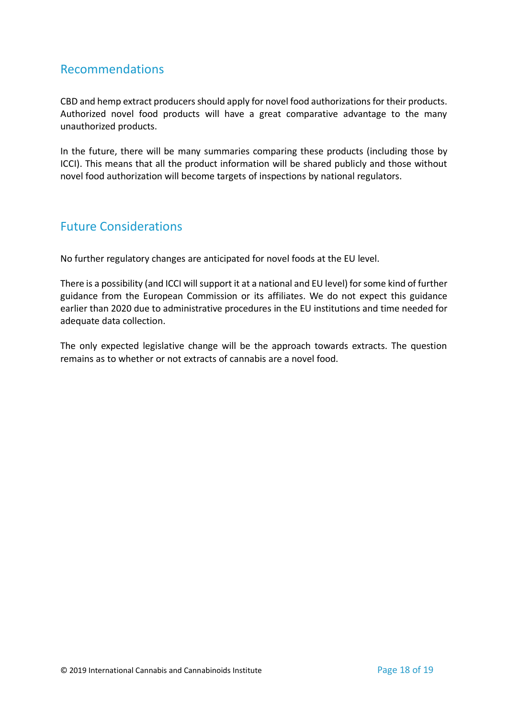#### Recommendations

CBD and hemp extract producers should apply for novel food authorizations for their products. Authorized novel food products will have a great comparative advantage to the many unauthorized products.

In the future, there will be many summaries comparing these products (including those by ICCI). This means that all the product information will be shared publicly and those without novel food authorization will become targets of inspections by national regulators.

#### <span id="page-18-0"></span>Future Considerations

No further regulatory changes are anticipated for novel foods at the EU level.

There is a possibility (and ICCI will support it at a national and EU level) for some kind of further guidance from the European Commission or its affiliates. We do not expect this guidance earlier than 2020 due to administrative procedures in the EU institutions and time needed for adequate data collection.

The only expected legislative change will be the approach towards extracts. The question remains as to whether or not extracts of cannabis are a novel food.